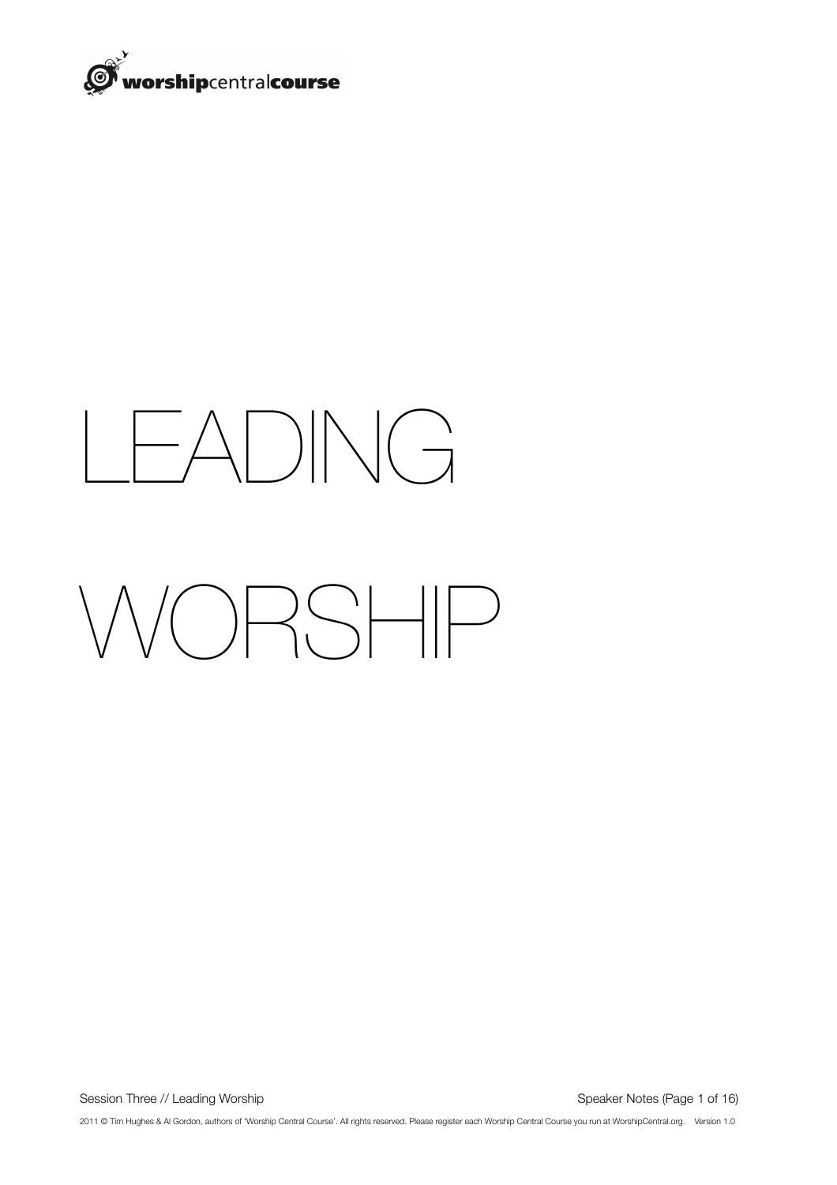

# LEADING

# WORSHIP

Session Three // Leading Worship **Session Three // Leading Worship Speaker Notes** (Page 1 of 16)

2011 © Tim Hughes & Al Gordon, authors of 'Worship Central Course'. All rights reserved. Please register each Worship Central Course you run at WorshipCentral.org. Version 1.0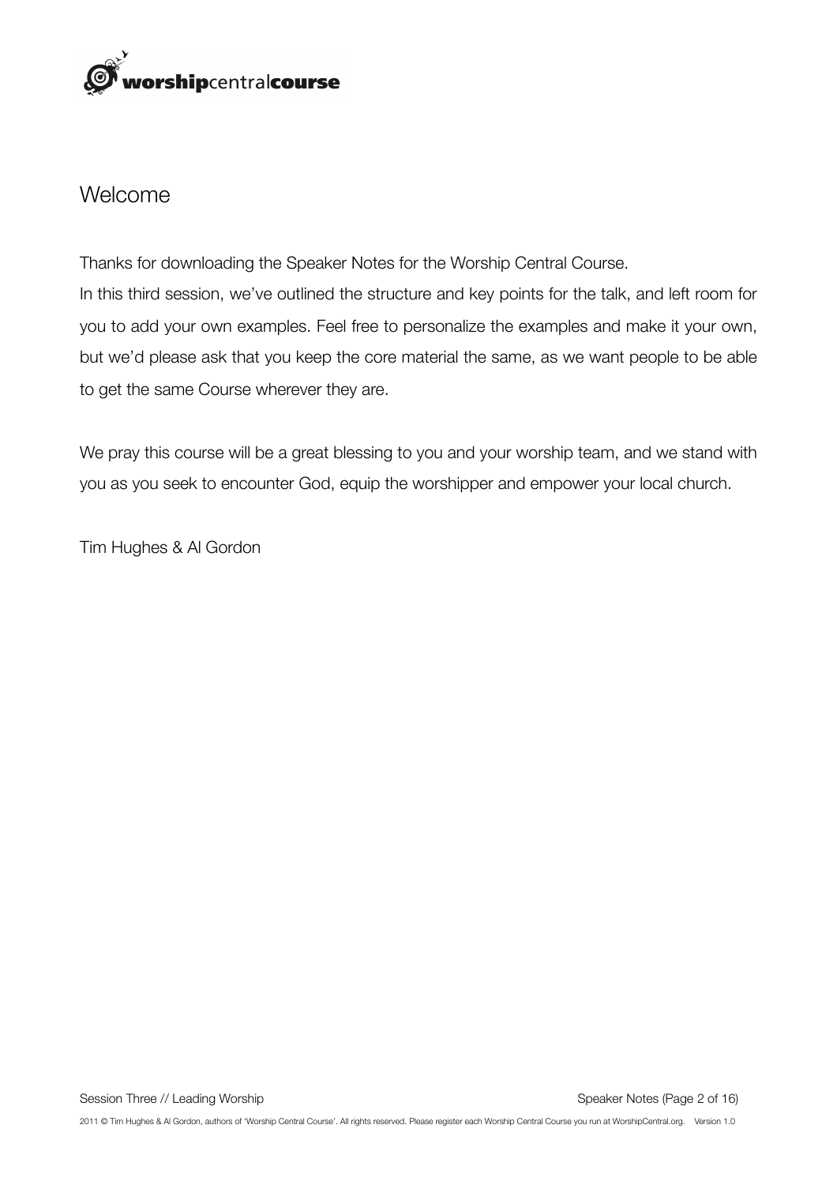

#### Welcome

Thanks for downloading the Speaker Notes for the Worship Central Course. In this third session, we've outlined the structure and key points for the talk, and left room for you to add your own examples. Feel free to personalize the examples and make it your own, but we'd please ask that you keep the core material the same, as we want people to be able to get the same Course wherever they are.

We pray this course will be a great blessing to you and your worship team, and we stand with you as you seek to encounter God, equip the worshipper and empower your local church.

Tim Hughes & Al Gordon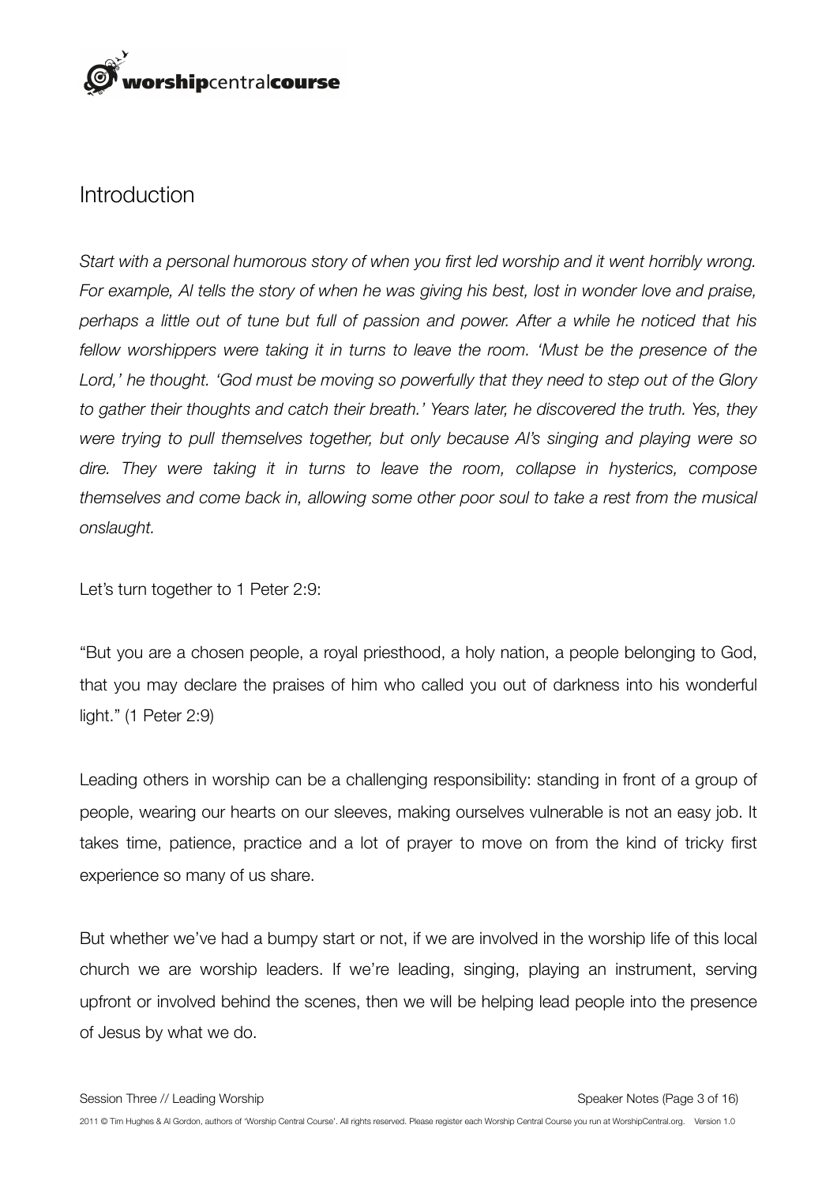## orshipcentralcourse

#### Introduction

*Start with a personal humorous story of when you first led worship and it went horribly wrong. For example, Al tells the story of when he was giving his best, lost in wonder love and praise, perhaps a little out of tune but full of passion and power. After a while he noticed that his fellow worshippers were taking it in turns to leave the room. 'Must be the presence of the Lord,' he thought. 'God must be moving so powerfully that they need to step out of the Glory to gather their thoughts and catch their breath.' Years later, he discovered the truth. Yes, they were trying to pull themselves together, but only because Al's singing and playing were so dire. They were taking it in turns to leave the room, collapse in hysterics, compose themselves and come back in, allowing some other poor soul to take a rest from the musical onslaught.*

Let's turn together to 1 Peter 2:9:

"But you are a chosen people, a royal priesthood, a holy nation, a people belonging to God, that you may declare the praises of him who called you out of darkness into his wonderful light." (1 Peter 2:9)

Leading others in worship can be a challenging responsibility: standing in front of a group of people, wearing our hearts on our sleeves, making ourselves vulnerable is not an easy job. It takes time, patience, practice and a lot of prayer to move on from the kind of tricky first experience so many of us share.

But whether we've had a bumpy start or not, if we are involved in the worship life of this local church we are worship leaders. If we're leading, singing, playing an instrument, serving upfront or involved behind the scenes, then we will be helping lead people into the presence of Jesus by what we do.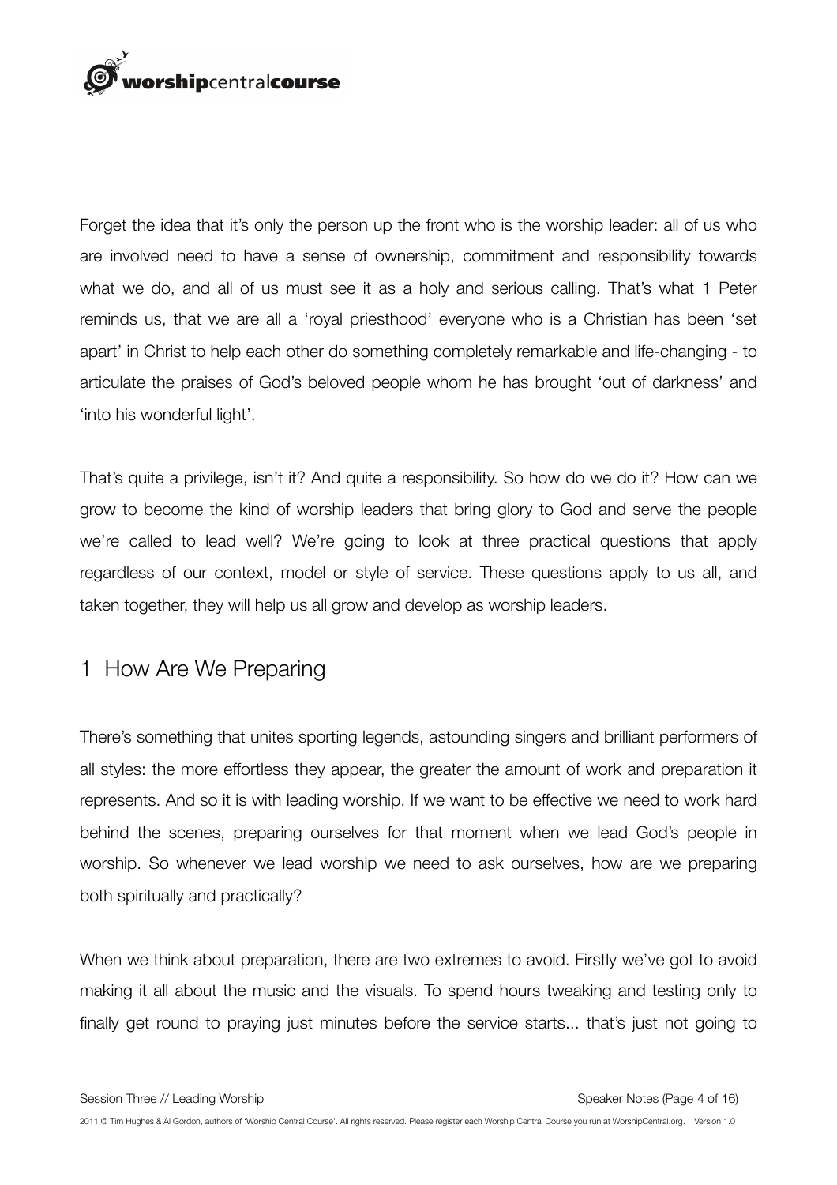

Forget the idea that it's only the person up the front who is the worship leader: all of us who are involved need to have a sense of ownership, commitment and responsibility towards what we do, and all of us must see it as a holy and serious calling. That's what 1 Peter reminds us, that we are all a 'royal priesthood' everyone who is a Christian has been 'set apart' in Christ to help each other do something completely remarkable and life-changing - to articulate the praises of God's beloved people whom he has brought 'out of darkness' and 'into his wonderful light'.

That's quite a privilege, isn't it? And quite a responsibility. So how do we do it? How can we grow to become the kind of worship leaders that bring glory to God and serve the people we're called to lead well? We're going to look at three practical questions that apply regardless of our context, model or style of service. These questions apply to us all, and taken together, they will help us all grow and develop as worship leaders.

#### 1 How Are We Preparing

There's something that unites sporting legends, astounding singers and brilliant performers of all styles: the more effortless they appear, the greater the amount of work and preparation it represents. And so it is with leading worship. If we want to be effective we need to work hard behind the scenes, preparing ourselves for that moment when we lead God's people in worship. So whenever we lead worship we need to ask ourselves, how are we preparing both spiritually and practically?

When we think about preparation, there are two extremes to avoid. Firstly we've got to avoid making it all about the music and the visuals. To spend hours tweaking and testing only to finally get round to praying just minutes before the service starts... that's just not going to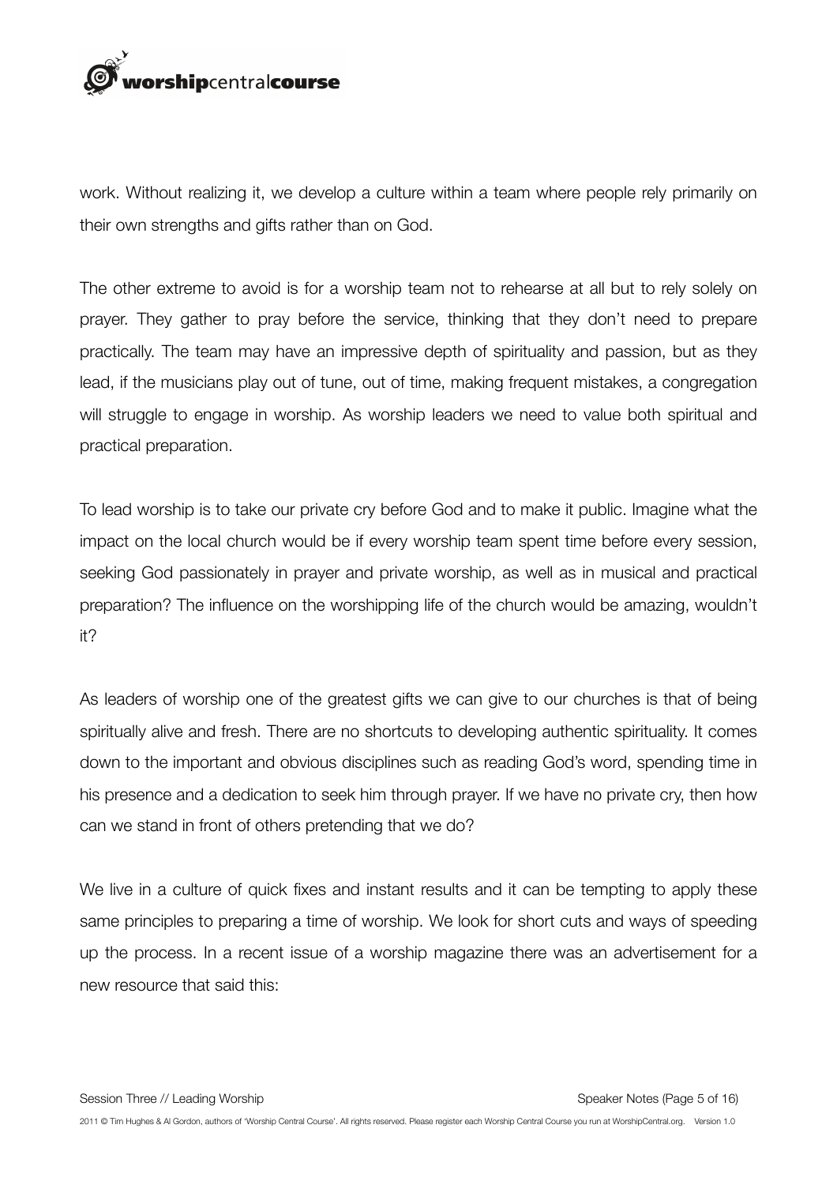

work. Without realizing it, we develop a culture within a team where people rely primarily on their own strengths and gifts rather than on God.

The other extreme to avoid is for a worship team not to rehearse at all but to rely solely on prayer. They gather to pray before the service, thinking that they don't need to prepare practically. The team may have an impressive depth of spirituality and passion, but as they lead, if the musicians play out of tune, out of time, making frequent mistakes, a congregation will struggle to engage in worship. As worship leaders we need to value both spiritual and practical preparation.

To lead worship is to take our private cry before God and to make it public. Imagine what the impact on the local church would be if every worship team spent time before every session, seeking God passionately in prayer and private worship, as well as in musical and practical preparation? The influence on the worshipping life of the church would be amazing, wouldn't it?

As leaders of worship one of the greatest gifts we can give to our churches is that of being spiritually alive and fresh. There are no shortcuts to developing authentic spirituality. It comes down to the important and obvious disciplines such as reading God's word, spending time in his presence and a dedication to seek him through prayer. If we have no private cry, then how can we stand in front of others pretending that we do?

We live in a culture of quick fixes and instant results and it can be tempting to apply these same principles to preparing a time of worship. We look for short cuts and ways of speeding up the process. In a recent issue of a worship magazine there was an advertisement for a new resource that said this: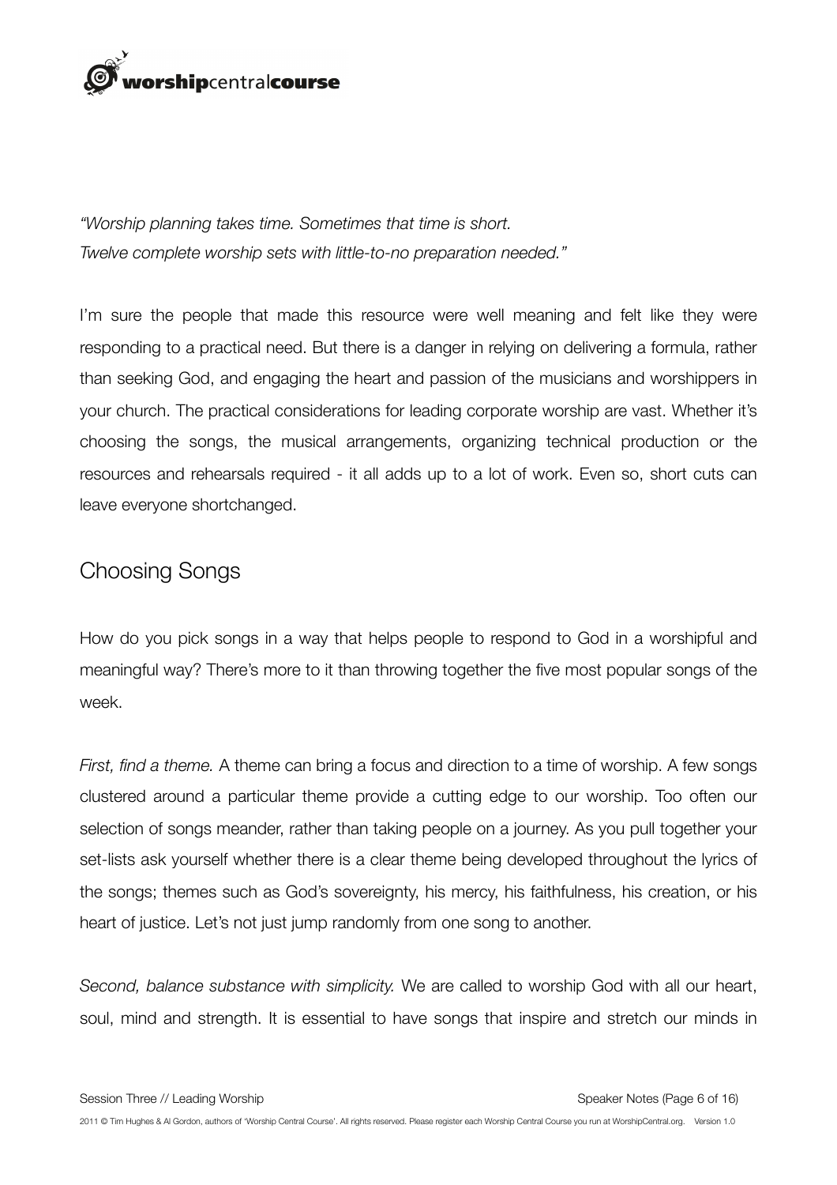

*"Worship planning takes time. Sometimes that time is short. Twelve complete worship sets with little-to-no preparation needed."*

I'm sure the people that made this resource were well meaning and felt like they were responding to a practical need. But there is a danger in relying on delivering a formula, rather than seeking God, and engaging the heart and passion of the musicians and worshippers in your church. The practical considerations for leading corporate worship are vast. Whether it's choosing the songs, the musical arrangements, organizing technical production or the resources and rehearsals required - it all adds up to a lot of work. Even so, short cuts can leave everyone shortchanged.

#### Choosing Songs

How do you pick songs in a way that helps people to respond to God in a worshipful and meaningful way? There's more to it than throwing together the five most popular songs of the week.

*First, find a theme.* A theme can bring a focus and direction to a time of worship. A few songs clustered around a particular theme provide a cutting edge to our worship. Too often our selection of songs meander, rather than taking people on a journey. As you pull together your set-lists ask yourself whether there is a clear theme being developed throughout the lyrics of the songs; themes such as God's sovereignty, his mercy, his faithfulness, his creation, or his heart of justice. Let's not just jump randomly from one song to another.

*Second, balance substance with simplicity.* We are called to worship God with all our heart, soul, mind and strength. It is essential to have songs that inspire and stretch our minds in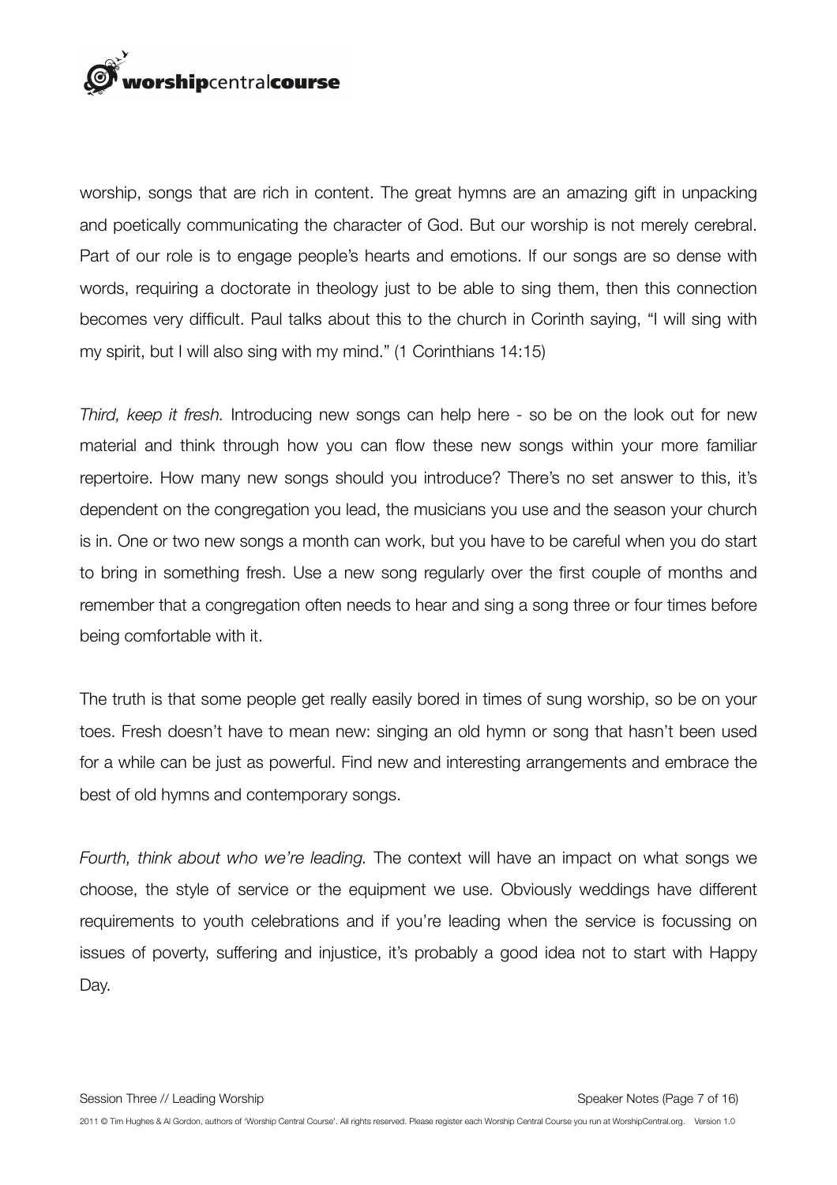

worship, songs that are rich in content. The great hymns are an amazing gift in unpacking and poetically communicating the character of God. But our worship is not merely cerebral. Part of our role is to engage people's hearts and emotions. If our songs are so dense with words, requiring a doctorate in theology just to be able to sing them, then this connection becomes very difficult. Paul talks about this to the church in Corinth saying, "I will sing with my spirit, but I will also sing with my mind." (1 Corinthians 14:15)

*Third, keep it fresh.* Introducing new songs can help here - so be on the look out for new material and think through how you can flow these new songs within your more familiar repertoire. How many new songs should you introduce? There's no set answer to this, it's dependent on the congregation you lead, the musicians you use and the season your church is in. One or two new songs a month can work, but you have to be careful when you do start to bring in something fresh. Use a new song regularly over the first couple of months and remember that a congregation often needs to hear and sing a song three or four times before being comfortable with it.

The truth is that some people get really easily bored in times of sung worship, so be on your toes. Fresh doesn't have to mean new: singing an old hymn or song that hasn't been used for a while can be just as powerful. Find new and interesting arrangements and embrace the best of old hymns and contemporary songs.

*Fourth, think about who we're leading.* The context will have an impact on what songs we choose, the style of service or the equipment we use. Obviously weddings have different requirements to youth celebrations and if you're leading when the service is focussing on issues of poverty, suffering and injustice, it's probably a good idea not to start with Happy Day.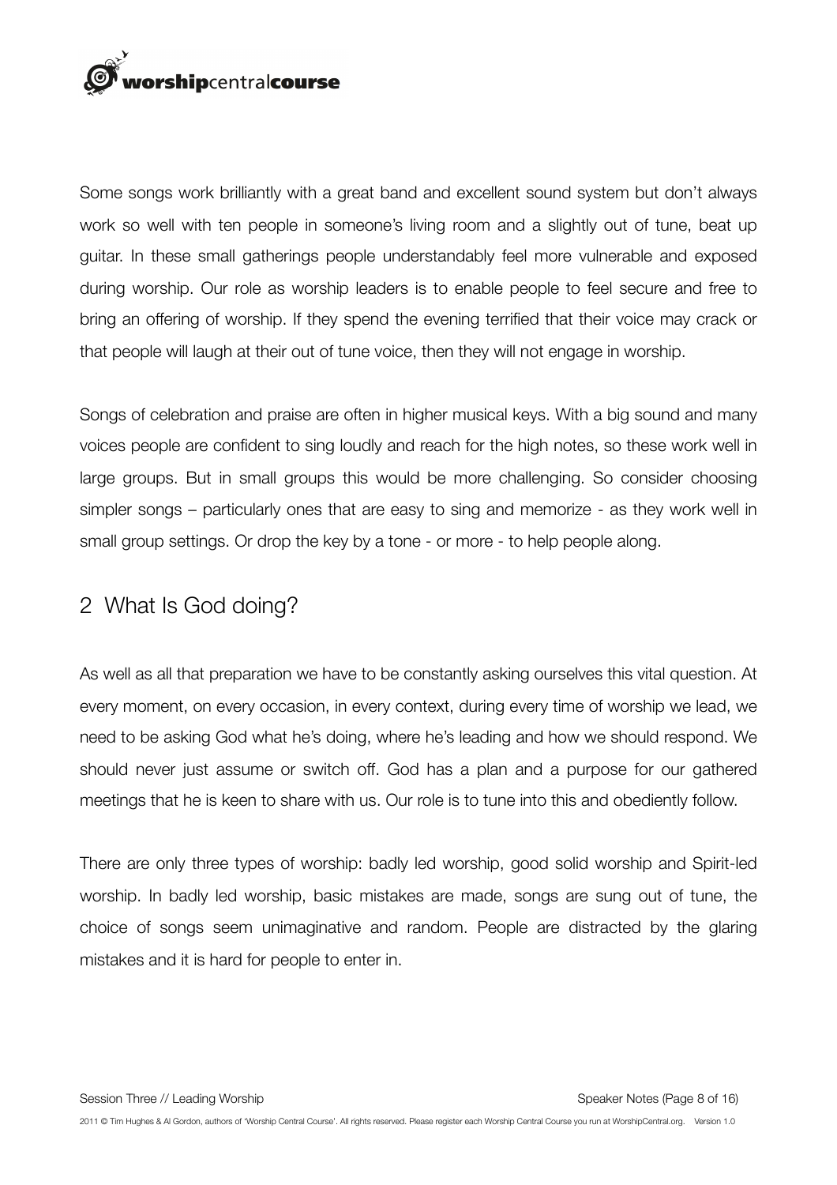

Some songs work brilliantly with a great band and excellent sound system but don't always work so well with ten people in someone's living room and a slightly out of tune, beat up guitar. In these small gatherings people understandably feel more vulnerable and exposed during worship. Our role as worship leaders is to enable people to feel secure and free to bring an offering of worship. If they spend the evening terrified that their voice may crack or that people will laugh at their out of tune voice, then they will not engage in worship.

Songs of celebration and praise are often in higher musical keys. With a big sound and many voices people are confident to sing loudly and reach for the high notes, so these work well in large groups. But in small groups this would be more challenging. So consider choosing simpler songs – particularly ones that are easy to sing and memorize - as they work well in small group settings. Or drop the key by a tone - or more - to help people along.

#### 2 What Is God doing?

As well as all that preparation we have to be constantly asking ourselves this vital question. At every moment, on every occasion, in every context, during every time of worship we lead, we need to be asking God what he's doing, where he's leading and how we should respond. We should never just assume or switch off. God has a plan and a purpose for our gathered meetings that he is keen to share with us. Our role is to tune into this and obediently follow.

There are only three types of worship: badly led worship, good solid worship and Spirit-led worship. In badly led worship, basic mistakes are made, songs are sung out of tune, the choice of songs seem unimaginative and random. People are distracted by the glaring mistakes and it is hard for people to enter in.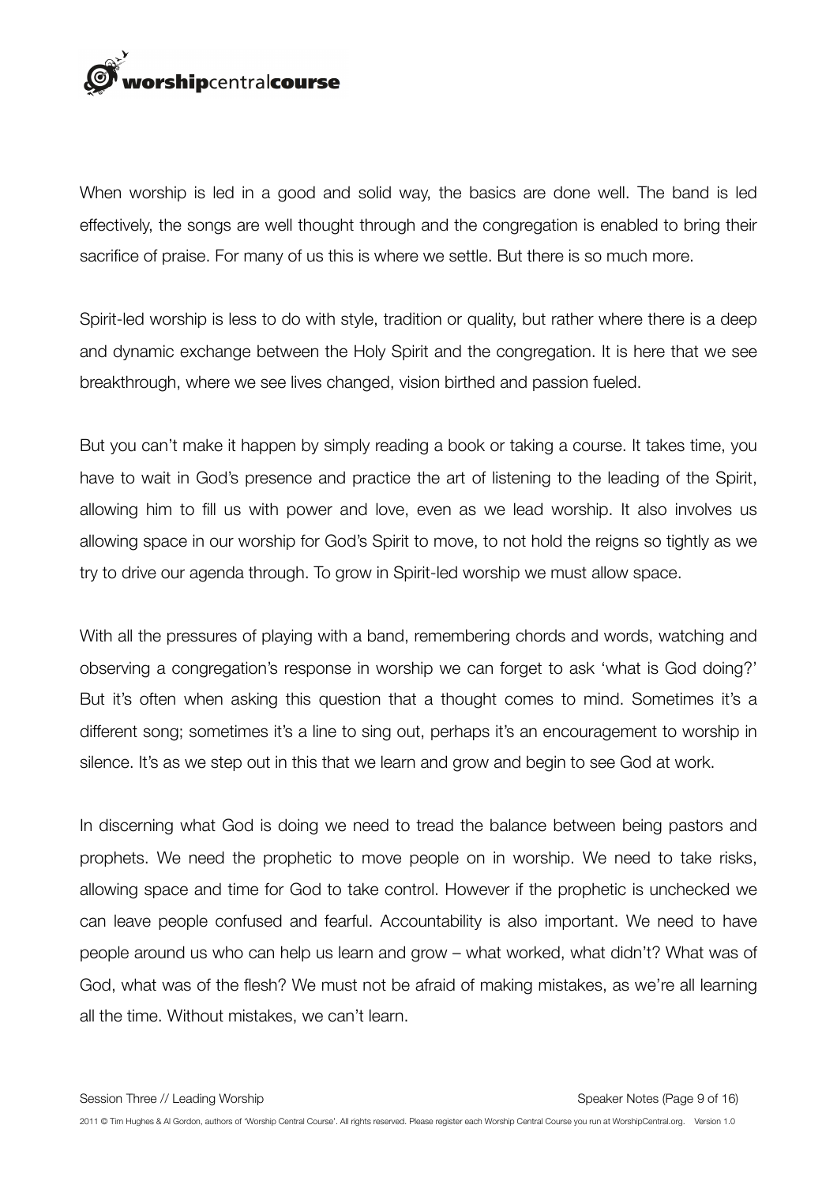

When worship is led in a good and solid way, the basics are done well. The band is led effectively, the songs are well thought through and the congregation is enabled to bring their sacrifice of praise. For many of us this is where we settle. But there is so much more.

Spirit-led worship is less to do with style, tradition or quality, but rather where there is a deep and dynamic exchange between the Holy Spirit and the congregation. It is here that we see breakthrough, where we see lives changed, vision birthed and passion fueled.

But you can't make it happen by simply reading a book or taking a course. It takes time, you have to wait in God's presence and practice the art of listening to the leading of the Spirit, allowing him to fill us with power and love, even as we lead worship. It also involves us allowing space in our worship for God's Spirit to move, to not hold the reigns so tightly as we try to drive our agenda through. To grow in Spirit-led worship we must allow space.

With all the pressures of playing with a band, remembering chords and words, watching and observing a congregation's response in worship we can forget to ask 'what is God doing?' But it's often when asking this question that a thought comes to mind. Sometimes it's a different song; sometimes it's a line to sing out, perhaps it's an encouragement to worship in silence. It's as we step out in this that we learn and grow and begin to see God at work.

In discerning what God is doing we need to tread the balance between being pastors and prophets. We need the prophetic to move people on in worship. We need to take risks, allowing space and time for God to take control. However if the prophetic is unchecked we can leave people confused and fearful. Accountability is also important. We need to have people around us who can help us learn and grow – what worked, what didn't? What was of God, what was of the flesh? We must not be afraid of making mistakes, as we're all learning all the time. Without mistakes, we can't learn.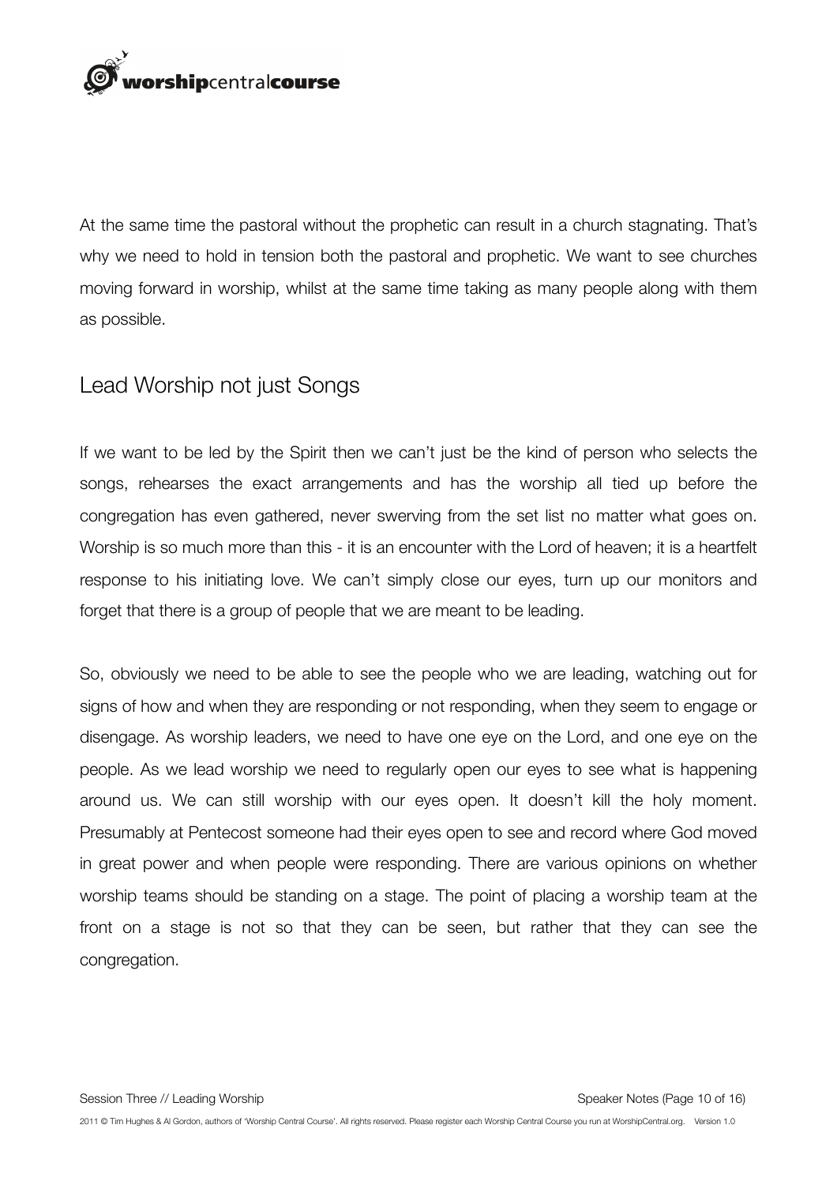

At the same time the pastoral without the prophetic can result in a church stagnating. That's why we need to hold in tension both the pastoral and prophetic. We want to see churches moving forward in worship, whilst at the same time taking as many people along with them as possible.

#### Lead Worship not just Songs

If we want to be led by the Spirit then we can't just be the kind of person who selects the songs, rehearses the exact arrangements and has the worship all tied up before the congregation has even gathered, never swerving from the set list no matter what goes on. Worship is so much more than this - it is an encounter with the Lord of heaven; it is a heartfelt response to his initiating love. We can't simply close our eyes, turn up our monitors and forget that there is a group of people that we are meant to be leading.

So, obviously we need to be able to see the people who we are leading, watching out for signs of how and when they are responding or not responding, when they seem to engage or disengage. As worship leaders, we need to have one eye on the Lord, and one eye on the people. As we lead worship we need to regularly open our eyes to see what is happening around us. We can still worship with our eyes open. It doesn't kill the holy moment. Presumably at Pentecost someone had their eyes open to see and record where God moved in great power and when people were responding. There are various opinions on whether worship teams should be standing on a stage. The point of placing a worship team at the front on a stage is not so that they can be seen, but rather that they can see the congregation.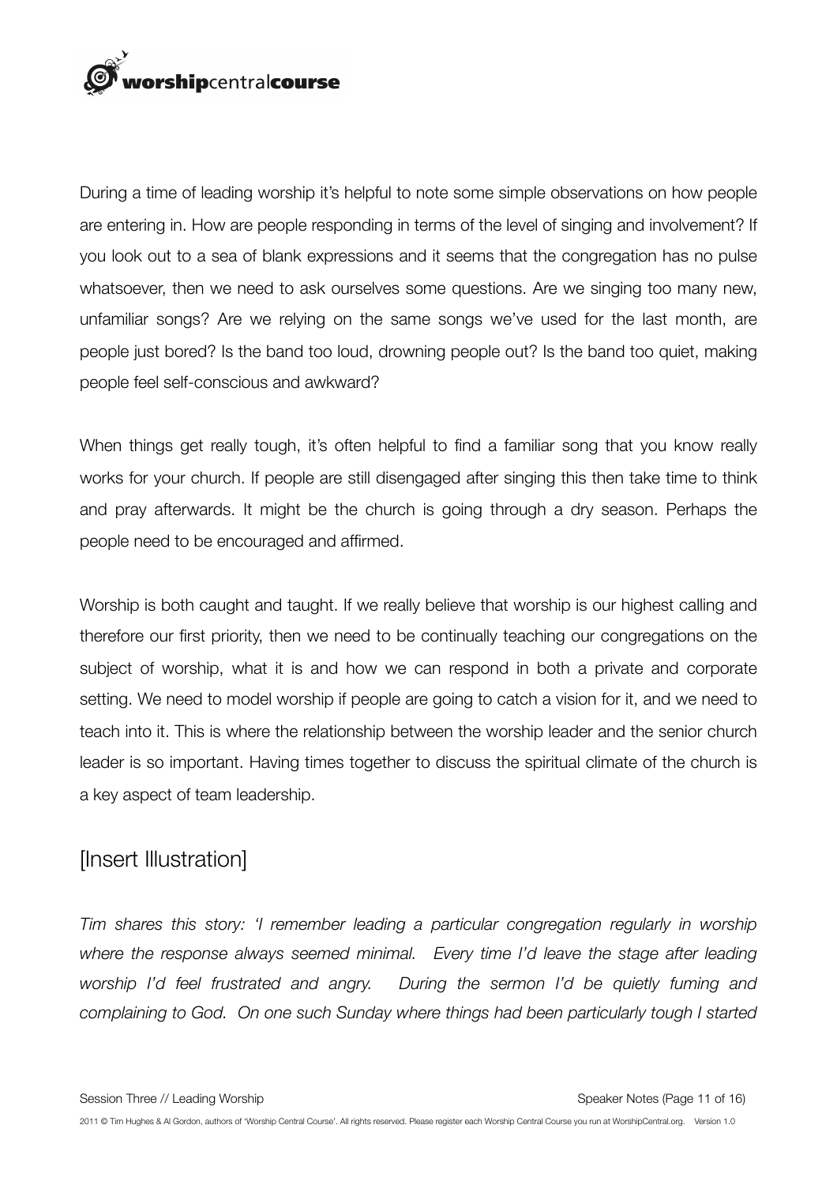

During a time of leading worship it's helpful to note some simple observations on how people are entering in. How are people responding in terms of the level of singing and involvement? If you look out to a sea of blank expressions and it seems that the congregation has no pulse whatsoever, then we need to ask ourselves some questions. Are we singing too many new, unfamiliar songs? Are we relying on the same songs we've used for the last month, are people just bored? Is the band too loud, drowning people out? Is the band too quiet, making people feel self-conscious and awkward?

When things get really tough, it's often helpful to find a familiar song that you know really works for your church. If people are still disengaged after singing this then take time to think and pray afterwards. It might be the church is going through a dry season. Perhaps the people need to be encouraged and affirmed.

Worship is both caught and taught. If we really believe that worship is our highest calling and therefore our first priority, then we need to be continually teaching our congregations on the subject of worship, what it is and how we can respond in both a private and corporate setting. We need to model worship if people are going to catch a vision for it, and we need to teach into it. This is where the relationship between the worship leader and the senior church leader is so important. Having times together to discuss the spiritual climate of the church is a key aspect of team leadership.

#### [Insert Illustration]

*Tim shares this story: 'I remember leading a particular congregation regularly in worship where the response always seemed minimal. Every time I'd leave the stage after leading worship I'd feel frustrated and angry. During the sermon I'd be quietly fuming and complaining to God. On one such Sunday where things had been particularly tough I started*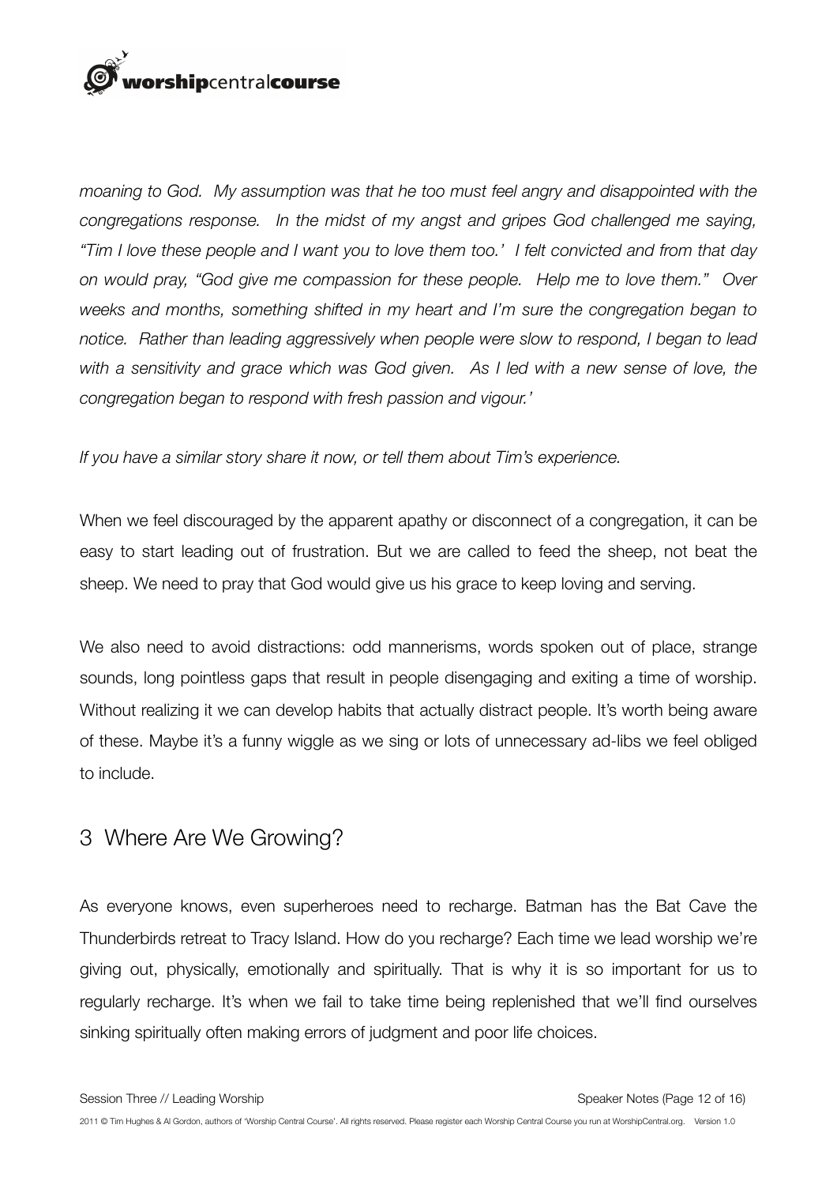## orshipcentralcourse

*moaning to God. My assumption was that he too must feel angry and disappointed with the congregations response. In the midst of my angst and gripes God challenged me saying, "Tim I love these people and I want you to love them too.' I felt convicted and from that day on would pray, "God give me compassion for these people. Help me to love them." Over weeks and months, something shifted in my heart and I'm sure the congregation began to notice. Rather than leading aggressively when people were slow to respond, I began to lead with a sensitivity and grace which was God given. As I led with a new sense of love, the congregation began to respond with fresh passion and vigour.'* 

*If you have a similar story share it now, or tell them about Tim's experience.*

When we feel discouraged by the apparent apathy or disconnect of a congregation, it can be easy to start leading out of frustration. But we are called to feed the sheep, not beat the sheep. We need to pray that God would give us his grace to keep loving and serving.

We also need to avoid distractions: odd mannerisms, words spoken out of place, strange sounds, long pointless gaps that result in people disengaging and exiting a time of worship. Without realizing it we can develop habits that actually distract people. It's worth being aware of these. Maybe it's a funny wiggle as we sing or lots of unnecessary ad-libs we feel obliged to include.

#### 3 Where Are We Growing?

As everyone knows, even superheroes need to recharge. Batman has the Bat Cave the Thunderbirds retreat to Tracy Island. How do you recharge? Each time we lead worship we're giving out, physically, emotionally and spiritually. That is why it is so important for us to regularly recharge. It's when we fail to take time being replenished that we'll find ourselves sinking spiritually often making errors of judgment and poor life choices.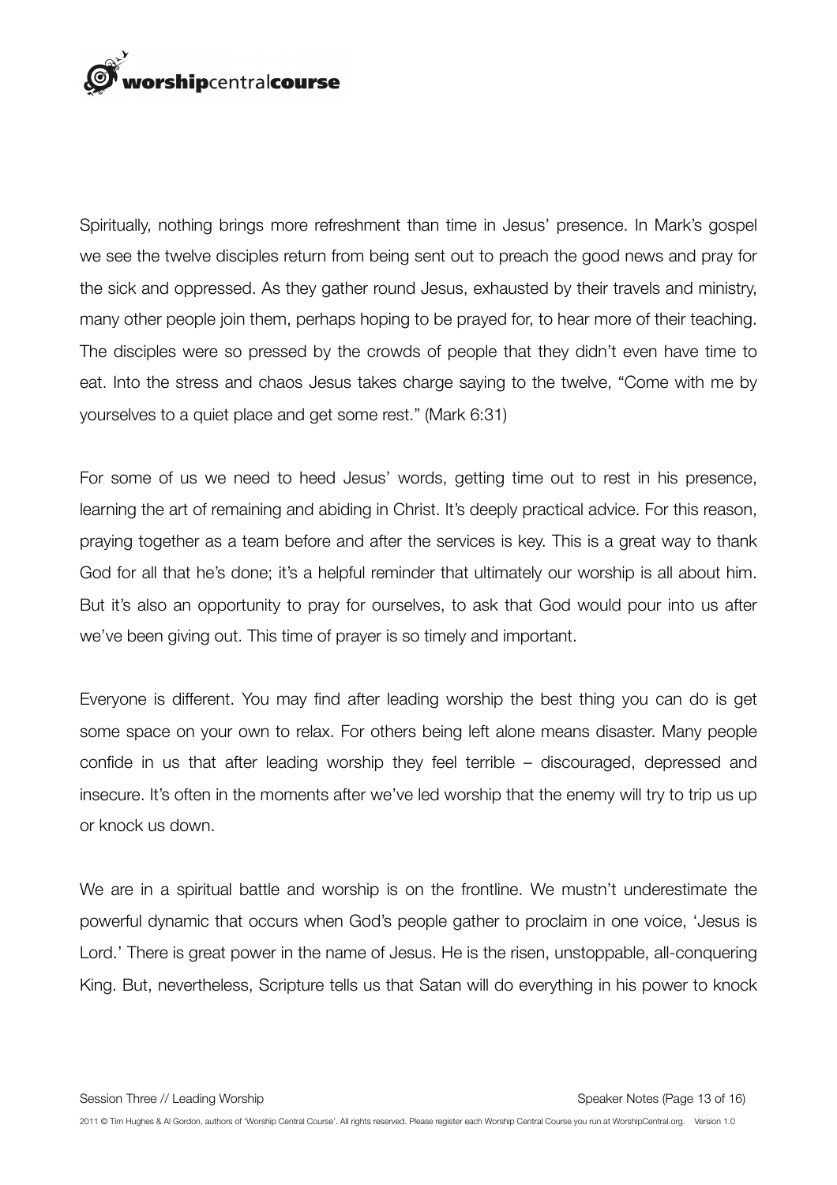

Spiritually, nothing brings more refreshment than time in Jesus' presence. In Mark's gospel we see the twelve disciples return from being sent out to preach the good news and pray for the sick and oppressed. As they gather round Jesus, exhausted by their travels and ministry, many other people join them, perhaps hoping to be prayed for, to hear more of their teaching. The disciples were so pressed by the crowds of people that they didn't even have time to eat. Into the stress and chaos Jesus takes charge saying to the twelve, "Come with me by yourselves to a quiet place and get some rest." (Mark 6:31)

For some of us we need to heed Jesus' words, getting time out to rest in his presence, learning the art of remaining and abiding in Christ. It's deeply practical advice. For this reason, praying together as a team before and after the services is key. This is a great way to thank God for all that he's done; it's a helpful reminder that ultimately our worship is all about him. But it's also an opportunity to pray for ourselves, to ask that God would pour into us after we've been giving out. This time of prayer is so timely and important.

Everyone is different. You may find after leading worship the best thing you can do is get some space on your own to relax. For others being left alone means disaster. Many people confide in us that after leading worship they feel terrible – discouraged, depressed and insecure. It's often in the moments after we've led worship that the enemy will try to trip us up or knock us down.

We are in a spiritual battle and worship is on the frontline. We mustn't underestimate the powerful dynamic that occurs when God's people gather to proclaim in one voice, 'Jesus is Lord.' There is great power in the name of Jesus. He is the risen, unstoppable, all-conquering King. But, nevertheless, Scripture tells us that Satan will do everything in his power to knock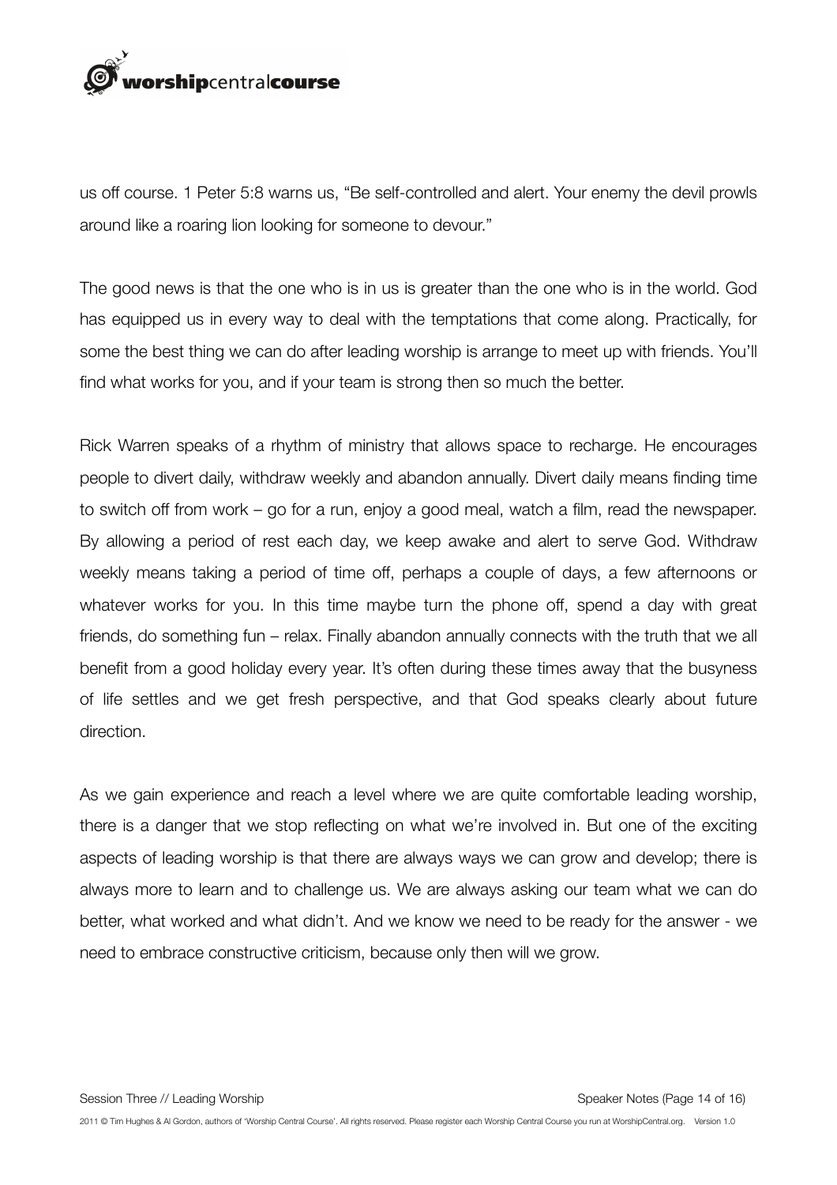

us off course. 1 Peter 5:8 warns us, "Be self-controlled and alert. Your enemy the devil prowls around like a roaring lion looking for someone to devour."

The good news is that the one who is in us is greater than the one who is in the world. God has equipped us in every way to deal with the temptations that come along. Practically, for some the best thing we can do after leading worship is arrange to meet up with friends. You'll find what works for you, and if your team is strong then so much the better.

Rick Warren speaks of a rhythm of ministry that allows space to recharge. He encourages people to divert daily, withdraw weekly and abandon annually. Divert daily means finding time to switch off from work – go for a run, enjoy a good meal, watch a film, read the newspaper. By allowing a period of rest each day, we keep awake and alert to serve God. Withdraw weekly means taking a period of time off, perhaps a couple of days, a few afternoons or whatever works for you. In this time maybe turn the phone off, spend a day with great friends, do something fun – relax. Finally abandon annually connects with the truth that we all benefit from a good holiday every year. It's often during these times away that the busyness of life settles and we get fresh perspective, and that God speaks clearly about future direction.

As we gain experience and reach a level where we are quite comfortable leading worship, there is a danger that we stop reflecting on what we're involved in. But one of the exciting aspects of leading worship is that there are always ways we can grow and develop; there is always more to learn and to challenge us. We are always asking our team what we can do better, what worked and what didn't. And we know we need to be ready for the answer - we need to embrace constructive criticism, because only then will we grow.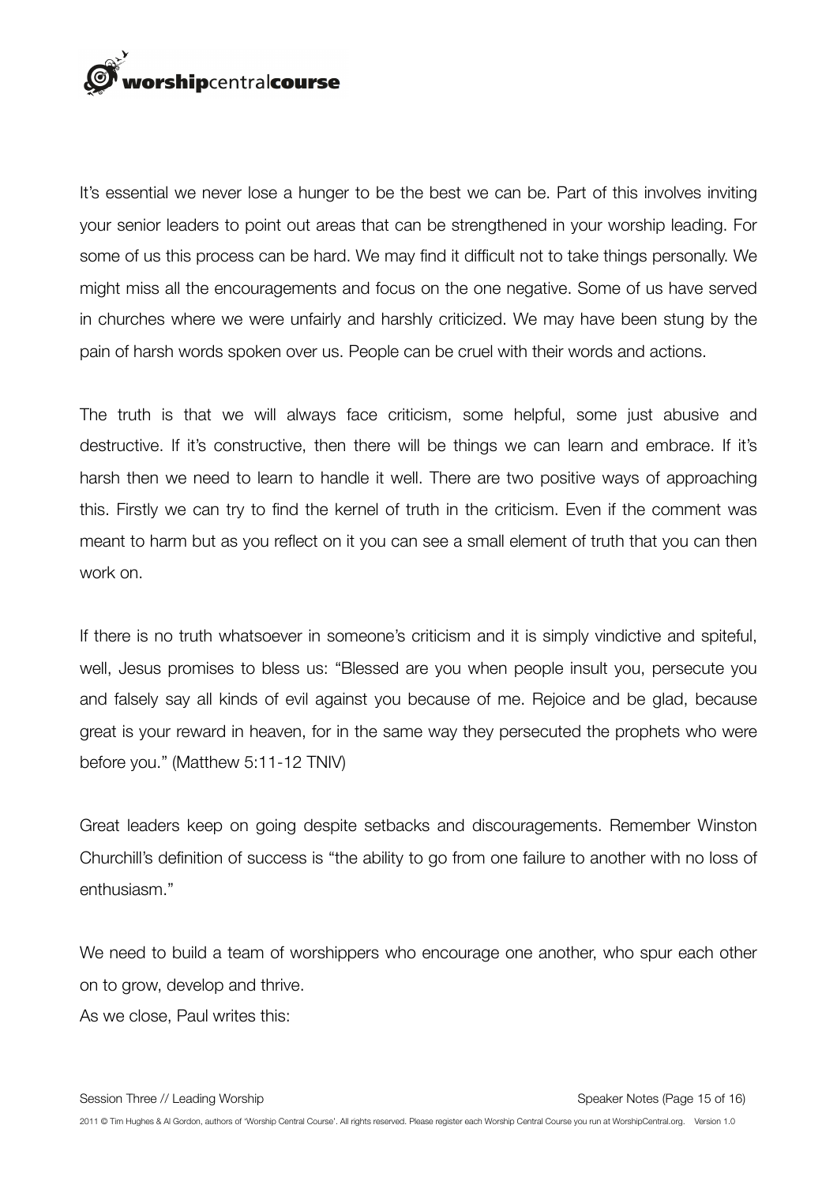

It's essential we never lose a hunger to be the best we can be. Part of this involves inviting your senior leaders to point out areas that can be strengthened in your worship leading. For some of us this process can be hard. We may find it difficult not to take things personally. We might miss all the encouragements and focus on the one negative. Some of us have served in churches where we were unfairly and harshly criticized. We may have been stung by the pain of harsh words spoken over us. People can be cruel with their words and actions.

The truth is that we will always face criticism, some helpful, some just abusive and destructive. If it's constructive, then there will be things we can learn and embrace. If it's harsh then we need to learn to handle it well. There are two positive ways of approaching this. Firstly we can try to find the kernel of truth in the criticism. Even if the comment was meant to harm but as you reflect on it you can see a small element of truth that you can then work on.

If there is no truth whatsoever in someone's criticism and it is simply vindictive and spiteful, well, Jesus promises to bless us: "Blessed are you when people insult you, persecute you and falsely say all kinds of evil against you because of me. Rejoice and be glad, because great is your reward in heaven, for in the same way they persecuted the prophets who were before you." (Matthew 5:11-12 TNIV)

Great leaders keep on going despite setbacks and discouragements. Remember Winston Churchill's definition of success is "the ability to go from one failure to another with no loss of enthusiasm."

We need to build a team of worshippers who encourage one another, who spur each other on to grow, develop and thrive. As we close, Paul writes this: